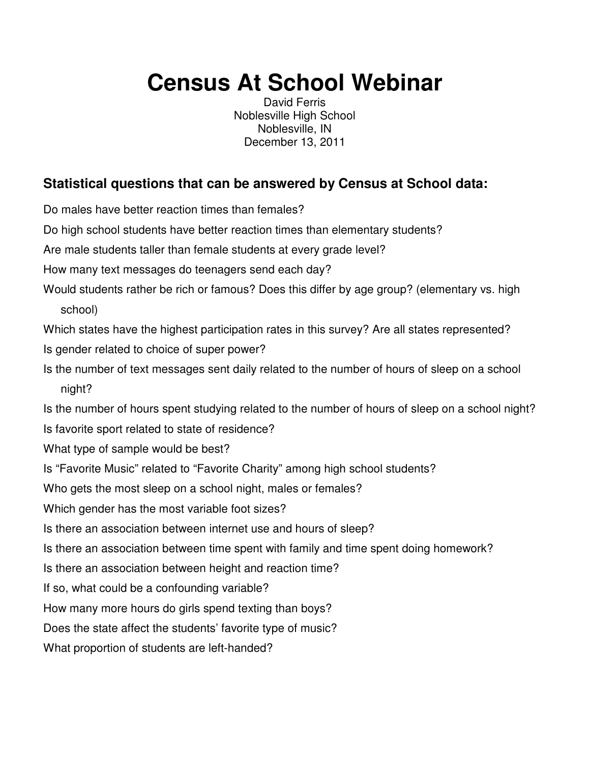## **Census At School Webinar**

David Ferris Noblesville High School Noblesville, IN December 13, 2011

## **Statistical questions that can be answered by Census at School data:**

Do males have better reaction times than females?

Do high school students have better reaction times than elementary students?

Are male students taller than female students at every grade level?

How many text messages do teenagers send each day?

Would students rather be rich or famous? Does this differ by age group? (elementary vs. high school)

Which states have the highest participation rates in this survey? Are all states represented?

- Is gender related to choice of super power?
- Is the number of text messages sent daily related to the number of hours of sleep on a school night?

Is the number of hours spent studying related to the number of hours of sleep on a school night?

Is favorite sport related to state of residence?

- What type of sample would be best?
- Is "Favorite Music" related to "Favorite Charity" among high school students?

Who gets the most sleep on a school night, males or females?

Which gender has the most variable foot sizes?

Is there an association between internet use and hours of sleep?

Is there an association between time spent with family and time spent doing homework?

Is there an association between height and reaction time?

If so, what could be a confounding variable?

How many more hours do girls spend texting than boys?

Does the state affect the students' favorite type of music?

What proportion of students are left-handed?